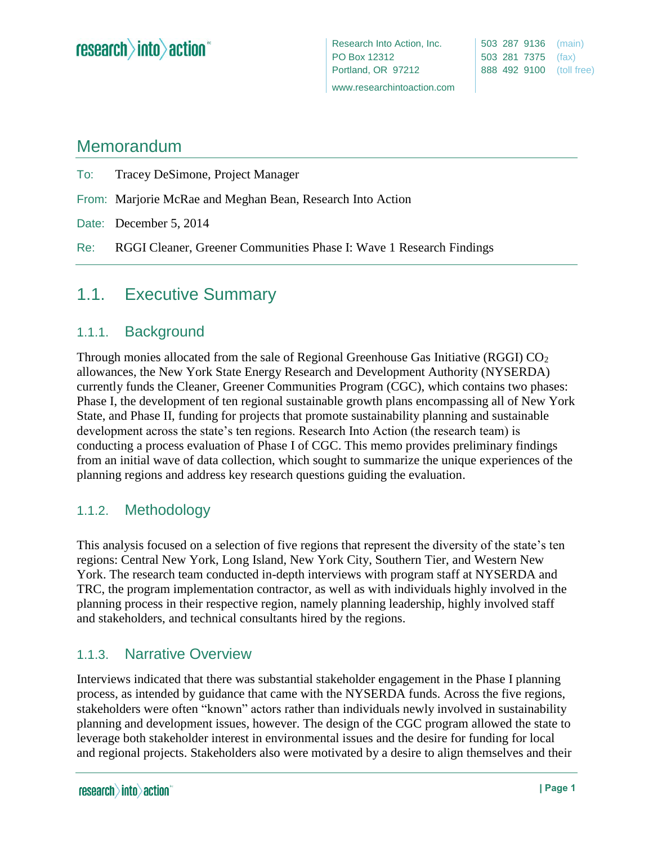# Memorandum

To: Tracey DeSimone, Project Manager

- From: Marjorie McRae and Meghan Bean, Research Into Action
- Date: December 5, 2014
- Re: RGGI Cleaner, Greener Communities Phase I: Wave 1 Research Findings

# 1.1. Executive Summary

#### 1.1.1. Background

Through monies allocated from the sale of Regional Greenhouse Gas Initiative (RGGI)  $CO<sub>2</sub>$ allowances, the New York State Energy Research and Development Authority (NYSERDA) currently funds the Cleaner, Greener Communities Program (CGC), which contains two phases: Phase I, the development of ten regional sustainable growth plans encompassing all of New York State, and Phase II, funding for projects that promote sustainability planning and sustainable development across the state's ten regions. Research Into Action (the research team) is conducting a process evaluation of Phase I of CGC. This memo provides preliminary findings from an initial wave of data collection, which sought to summarize the unique experiences of the planning regions and address key research questions guiding the evaluation.

#### 1.1.2. Methodology

This analysis focused on a selection of five regions that represent the diversity of the state's ten regions: Central New York, Long Island, New York City, Southern Tier, and Western New York. The research team conducted in-depth interviews with program staff at NYSERDA and TRC, the program implementation contractor, as well as with individuals highly involved in the planning process in their respective region, namely planning leadership, highly involved staff and stakeholders, and technical consultants hired by the regions.

## 1.1.3. Narrative Overview

Interviews indicated that there was substantial stakeholder engagement in the Phase I planning process, as intended by guidance that came with the NYSERDA funds. Across the five regions, stakeholders were often "known" actors rather than individuals newly involved in sustainability planning and development issues, however. The design of the CGC program allowed the state to leverage both stakeholder interest in environmental issues and the desire for funding for local and regional projects. Stakeholders also were motivated by a desire to align themselves and their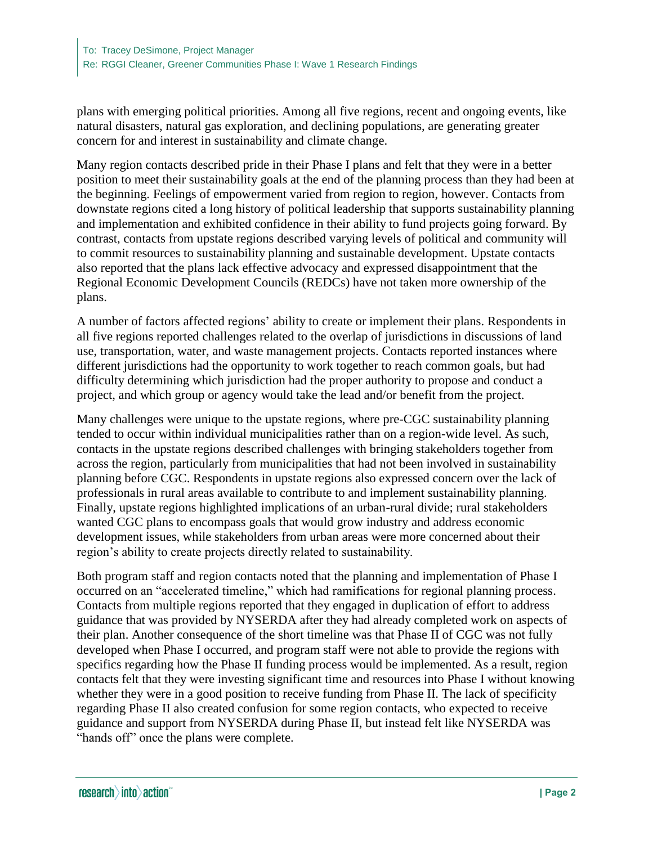plans with emerging political priorities. Among all five regions, recent and ongoing events, like natural disasters, natural gas exploration, and declining populations, are generating greater concern for and interest in sustainability and climate change.

Many region contacts described pride in their Phase I plans and felt that they were in a better position to meet their sustainability goals at the end of the planning process than they had been at the beginning. Feelings of empowerment varied from region to region, however. Contacts from downstate regions cited a long history of political leadership that supports sustainability planning and implementation and exhibited confidence in their ability to fund projects going forward. By contrast, contacts from upstate regions described varying levels of political and community will to commit resources to sustainability planning and sustainable development. Upstate contacts also reported that the plans lack effective advocacy and expressed disappointment that the Regional Economic Development Councils (REDCs) have not taken more ownership of the plans.

A number of factors affected regions' ability to create or implement their plans. Respondents in all five regions reported challenges related to the overlap of jurisdictions in discussions of land use, transportation, water, and waste management projects. Contacts reported instances where different jurisdictions had the opportunity to work together to reach common goals, but had difficulty determining which jurisdiction had the proper authority to propose and conduct a project, and which group or agency would take the lead and/or benefit from the project.

Many challenges were unique to the upstate regions, where pre-CGC sustainability planning tended to occur within individual municipalities rather than on a region-wide level. As such, contacts in the upstate regions described challenges with bringing stakeholders together from across the region, particularly from municipalities that had not been involved in sustainability planning before CGC. Respondents in upstate regions also expressed concern over the lack of professionals in rural areas available to contribute to and implement sustainability planning. Finally, upstate regions highlighted implications of an urban-rural divide; rural stakeholders wanted CGC plans to encompass goals that would grow industry and address economic development issues, while stakeholders from urban areas were more concerned about their region's ability to create projects directly related to sustainability.

Both program staff and region contacts noted that the planning and implementation of Phase I occurred on an "accelerated timeline," which had ramifications for regional planning process. Contacts from multiple regions reported that they engaged in duplication of effort to address guidance that was provided by NYSERDA after they had already completed work on aspects of their plan. Another consequence of the short timeline was that Phase II of CGC was not fully developed when Phase I occurred, and program staff were not able to provide the regions with specifics regarding how the Phase II funding process would be implemented. As a result, region contacts felt that they were investing significant time and resources into Phase I without knowing whether they were in a good position to receive funding from Phase II. The lack of specificity regarding Phase II also created confusion for some region contacts, who expected to receive guidance and support from NYSERDA during Phase II, but instead felt like NYSERDA was "hands off" once the plans were complete.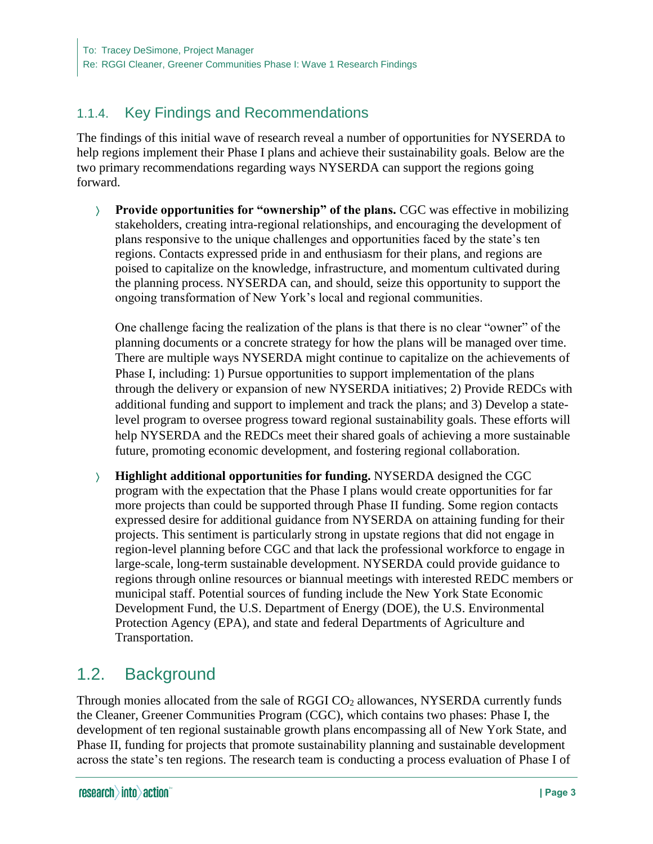# 1.1.4. Key Findings and Recommendations

The findings of this initial wave of research reveal a number of opportunities for NYSERDA to help regions implement their Phase I plans and achieve their sustainability goals. Below are the two primary recommendations regarding ways NYSERDA can support the regions going forward.

 **Provide opportunities for "ownership" of the plans.** CGC was effective in mobilizing stakeholders, creating intra-regional relationships, and encouraging the development of plans responsive to the unique challenges and opportunities faced by the state's ten regions. Contacts expressed pride in and enthusiasm for their plans, and regions are poised to capitalize on the knowledge, infrastructure, and momentum cultivated during the planning process. NYSERDA can, and should, seize this opportunity to support the ongoing transformation of New York's local and regional communities.

One challenge facing the realization of the plans is that there is no clear "owner" of the planning documents or a concrete strategy for how the plans will be managed over time. There are multiple ways NYSERDA might continue to capitalize on the achievements of Phase I, including: 1) Pursue opportunities to support implementation of the plans through the delivery or expansion of new NYSERDA initiatives; 2) Provide REDCs with additional funding and support to implement and track the plans; and 3) Develop a statelevel program to oversee progress toward regional sustainability goals. These efforts will help NYSERDA and the REDCs meet their shared goals of achieving a more sustainable future, promoting economic development, and fostering regional collaboration.

 **Highlight additional opportunities for funding.** NYSERDA designed the CGC program with the expectation that the Phase I plans would create opportunities for far more projects than could be supported through Phase II funding. Some region contacts expressed desire for additional guidance from NYSERDA on attaining funding for their projects. This sentiment is particularly strong in upstate regions that did not engage in region-level planning before CGC and that lack the professional workforce to engage in large-scale, long-term sustainable development. NYSERDA could provide guidance to regions through online resources or biannual meetings with interested REDC members or municipal staff. Potential sources of funding include the New York State Economic Development Fund, the U.S. Department of Energy (DOE), the U.S. Environmental Protection Agency (EPA), and state and federal Departments of Agriculture and Transportation.

# 1.2. Background

Through monies allocated from the sale of RGGI CO<sub>2</sub> allowances, NYSERDA currently funds the Cleaner, Greener Communities Program (CGC), which contains two phases: Phase I, the development of ten regional sustainable growth plans encompassing all of New York State, and Phase II, funding for projects that promote sustainability planning and sustainable development across the state's ten regions. The research team is conducting a process evaluation of Phase I of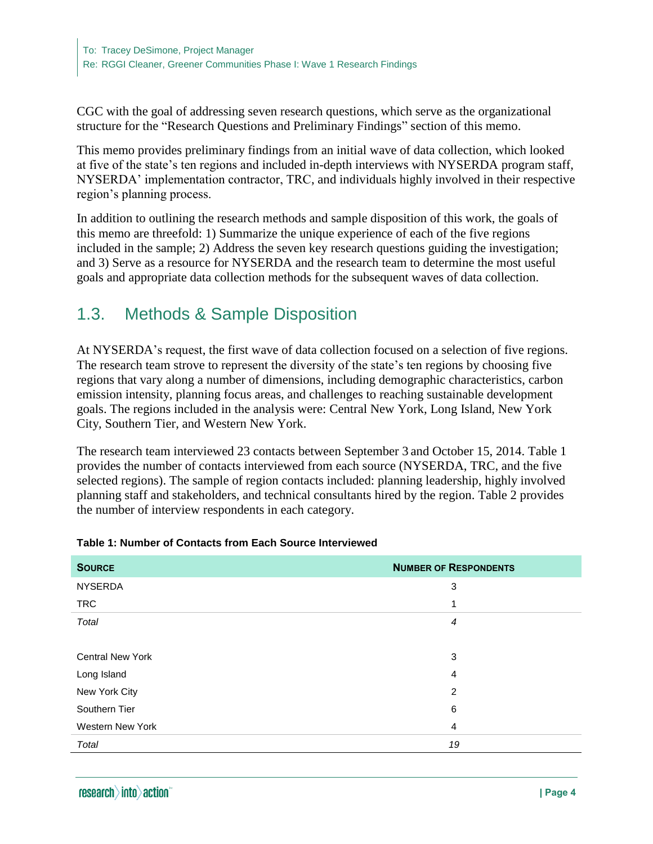CGC with the goal of addressing seven research questions, which serve as the organizational structure for the "Research Questions and Preliminary Findings" section of this memo.

This memo provides preliminary findings from an initial wave of data collection, which looked at five of the state's ten regions and included in-depth interviews with NYSERDA program staff, NYSERDA' implementation contractor, TRC, and individuals highly involved in their respective region's planning process.

In addition to outlining the research methods and sample disposition of this work, the goals of this memo are threefold: 1) Summarize the unique experience of each of the five regions included in the sample; 2) Address the seven key research questions guiding the investigation; and 3) Serve as a resource for NYSERDA and the research team to determine the most useful goals and appropriate data collection methods for the subsequent waves of data collection.

# 1.3. Methods & Sample Disposition

At NYSERDA's request, the first wave of data collection focused on a selection of five regions. The research team strove to represent the diversity of the state's ten regions by choosing five regions that vary along a number of dimensions, including demographic characteristics, carbon emission intensity, planning focus areas, and challenges to reaching sustainable development goals. The regions included in the analysis were: Central New York, Long Island, New York City, Southern Tier, and Western New York.

The research team interviewed 23 contacts between September 3 and October 15, 2014. [Table 1](#page-3-0) provides the number of contacts interviewed from each source (NYSERDA, TRC, and the five selected regions). The sample of region contacts included: planning leadership, highly involved planning staff and stakeholders, and technical consultants hired by the region. Table 2 provides the number of interview respondents in each category.

| <b>SOURCE</b>           | <b>NUMBER OF RESPONDENTS</b> |
|-------------------------|------------------------------|
| <b>NYSERDA</b>          | 3                            |
| <b>TRC</b>              | 1                            |
| Total                   | $\overline{4}$               |
|                         |                              |
| <b>Central New York</b> | 3                            |
| Long Island             | $\overline{4}$               |
| New York City           | 2                            |
| Southern Tier           | 6                            |
| <b>Western New York</b> | $\overline{4}$               |
| Total                   | 19                           |

#### <span id="page-3-0"></span>**Table 1: Number of Contacts from Each Source Interviewed**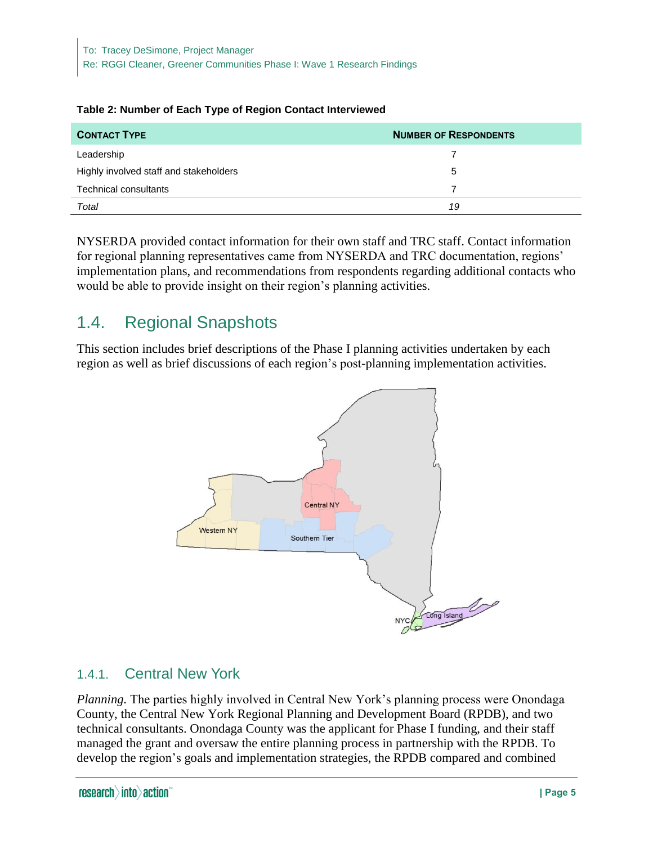| <b>CONTACT TYPE</b>                    | <b>NUMBER OF RESPONDENTS</b> |
|----------------------------------------|------------------------------|
| Leadership                             |                              |
| Highly involved staff and stakeholders | 5                            |
| Technical consultants                  | 7                            |
| Total                                  | 19                           |

#### **Table 2: Number of Each Type of Region Contact Interviewed**

NYSERDA provided contact information for their own staff and TRC staff. Contact information for regional planning representatives came from NYSERDA and TRC documentation, regions' implementation plans, and recommendations from respondents regarding additional contacts who would be able to provide insight on their region's planning activities.

# 1.4. Regional Snapshots

This section includes brief descriptions of the Phase I planning activities undertaken by each region as well as brief discussions of each region's post-planning implementation activities.



## 1.4.1. Central New York

*Planning.* The parties highly involved in Central New York's planning process were Onondaga County, the Central New York Regional Planning and Development Board (RPDB), and two technical consultants. Onondaga County was the applicant for Phase I funding, and their staff managed the grant and oversaw the entire planning process in partnership with the RPDB. To develop the region's goals and implementation strategies, the RPDB compared and combined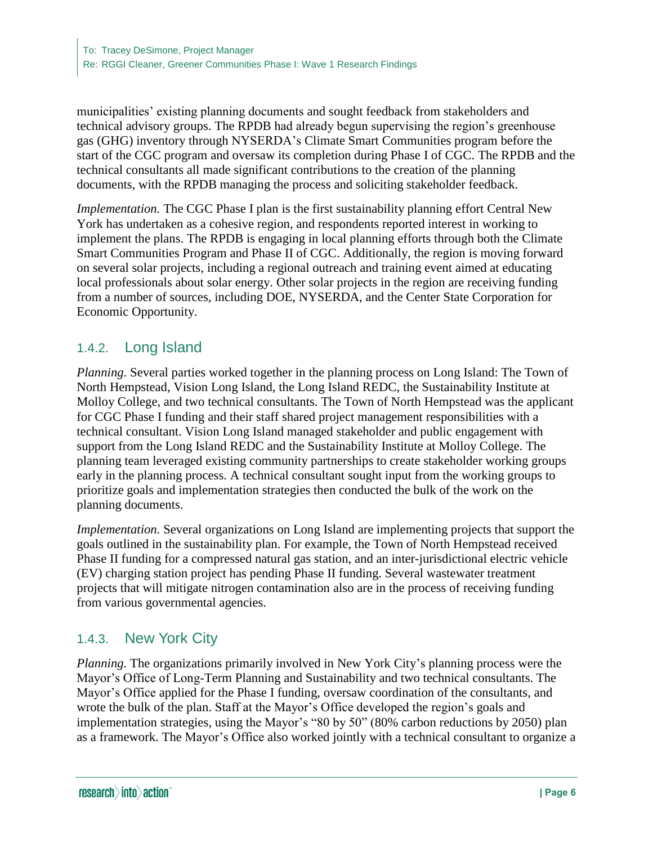municipalities' existing planning documents and sought feedback from stakeholders and technical advisory groups. The RPDB had already begun supervising the region's greenhouse gas (GHG) inventory through NYSERDA's Climate Smart Communities program before the start of the CGC program and oversaw its completion during Phase I of CGC. The RPDB and the technical consultants all made significant contributions to the creation of the planning documents, with the RPDB managing the process and soliciting stakeholder feedback.

*Implementation.* The CGC Phase I plan is the first sustainability planning effort Central New York has undertaken as a cohesive region, and respondents reported interest in working to implement the plans. The RPDB is engaging in local planning efforts through both the Climate Smart Communities Program and Phase II of CGC. Additionally, the region is moving forward on several solar projects, including a regional outreach and training event aimed at educating local professionals about solar energy. Other solar projects in the region are receiving funding from a number of sources, including DOE, NYSERDA, and the Center State Corporation for Economic Opportunity.

## 1.4.2. Long Island

*Planning.* Several parties worked together in the planning process on Long Island: The Town of North Hempstead, Vision Long Island, the Long Island REDC, the Sustainability Institute at Molloy College, and two technical consultants. The Town of North Hempstead was the applicant for CGC Phase I funding and their staff shared project management responsibilities with a technical consultant. Vision Long Island managed stakeholder and public engagement with support from the Long Island REDC and the Sustainability Institute at Molloy College. The planning team leveraged existing community partnerships to create stakeholder working groups early in the planning process. A technical consultant sought input from the working groups to prioritize goals and implementation strategies then conducted the bulk of the work on the planning documents.

*Implementation.* Several organizations on Long Island are implementing projects that support the goals outlined in the sustainability plan. For example, the Town of North Hempstead received Phase II funding for a compressed natural gas station, and an inter-jurisdictional electric vehicle (EV) charging station project has pending Phase II funding. Several wastewater treatment projects that will mitigate nitrogen contamination also are in the process of receiving funding from various governmental agencies.

## 1.4.3. New York City

*Planning.* The organizations primarily involved in New York City's planning process were the Mayor's Office of Long-Term Planning and Sustainability and two technical consultants. The Mayor's Office applied for the Phase I funding, oversaw coordination of the consultants, and wrote the bulk of the plan. Staff at the Mayor's Office developed the region's goals and implementation strategies, using the Mayor's "80 by 50" (80% carbon reductions by 2050) plan as a framework. The Mayor's Office also worked jointly with a technical consultant to organize a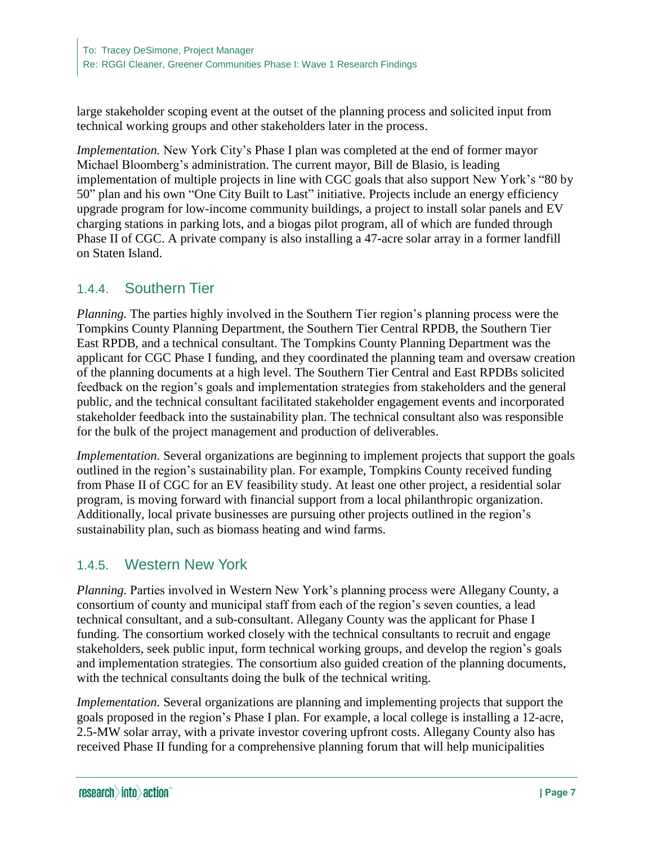large stakeholder scoping event at the outset of the planning process and solicited input from technical working groups and other stakeholders later in the process.

*Implementation.* New York City's Phase I plan was completed at the end of former mayor Michael Bloomberg's administration. The current mayor, Bill de Blasio, is leading implementation of multiple projects in line with CGC goals that also support New York's "80 by 50" plan and his own "One City Built to Last" initiative. Projects include an energy efficiency upgrade program for low-income community buildings, a project to install solar panels and EV charging stations in parking lots, and a biogas pilot program, all of which are funded through Phase II of CGC. A private company is also installing a 47-acre solar array in a former landfill on Staten Island.

## 1.4.4. Southern Tier

*Planning.* The parties highly involved in the Southern Tier region's planning process were the Tompkins County Planning Department, the Southern Tier Central RPDB, the Southern Tier East RPDB, and a technical consultant. The Tompkins County Planning Department was the applicant for CGC Phase I funding, and they coordinated the planning team and oversaw creation of the planning documents at a high level. The Southern Tier Central and East RPDBs solicited feedback on the region's goals and implementation strategies from stakeholders and the general public, and the technical consultant facilitated stakeholder engagement events and incorporated stakeholder feedback into the sustainability plan. The technical consultant also was responsible for the bulk of the project management and production of deliverables.

*Implementation.* Several organizations are beginning to implement projects that support the goals outlined in the region's sustainability plan. For example, Tompkins County received funding from Phase II of CGC for an EV feasibility study. At least one other project, a residential solar program, is moving forward with financial support from a local philanthropic organization. Additionally, local private businesses are pursuing other projects outlined in the region's sustainability plan, such as biomass heating and wind farms.

#### 1.4.5. Western New York

*Planning.* Parties involved in Western New York's planning process were Allegany County, a consortium of county and municipal staff from each of the region's seven counties, a lead technical consultant, and a sub-consultant. Allegany County was the applicant for Phase I funding. The consortium worked closely with the technical consultants to recruit and engage stakeholders, seek public input, form technical working groups, and develop the region's goals and implementation strategies. The consortium also guided creation of the planning documents, with the technical consultants doing the bulk of the technical writing.

*Implementation.* Several organizations are planning and implementing projects that support the goals proposed in the region's Phase I plan. For example, a local college is installing a 12-acre, 2.5-MW solar array, with a private investor covering upfront costs. Allegany County also has received Phase II funding for a comprehensive planning forum that will help municipalities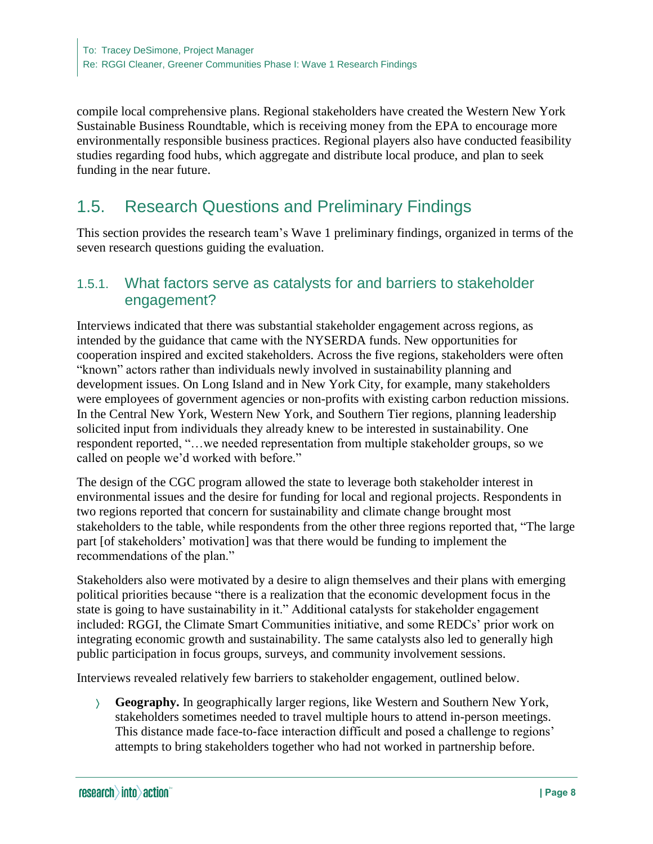compile local comprehensive plans. Regional stakeholders have created the Western New York Sustainable Business Roundtable, which is receiving money from the EPA to encourage more environmentally responsible business practices. Regional players also have conducted feasibility studies regarding food hubs, which aggregate and distribute local produce, and plan to seek funding in the near future.

# 1.5. Research Questions and Preliminary Findings

This section provides the research team's Wave 1 preliminary findings, organized in terms of the seven research questions guiding the evaluation.

#### 1.5.1. What factors serve as catalysts for and barriers to stakeholder engagement?

Interviews indicated that there was substantial stakeholder engagement across regions, as intended by the guidance that came with the NYSERDA funds. New opportunities for cooperation inspired and excited stakeholders. Across the five regions, stakeholders were often "known" actors rather than individuals newly involved in sustainability planning and development issues. On Long Island and in New York City, for example, many stakeholders were employees of government agencies or non-profits with existing carbon reduction missions. In the Central New York, Western New York, and Southern Tier regions, planning leadership solicited input from individuals they already knew to be interested in sustainability. One respondent reported, "…we needed representation from multiple stakeholder groups, so we called on people we'd worked with before."

The design of the CGC program allowed the state to leverage both stakeholder interest in environmental issues and the desire for funding for local and regional projects. Respondents in two regions reported that concern for sustainability and climate change brought most stakeholders to the table, while respondents from the other three regions reported that, "The large part [of stakeholders' motivation] was that there would be funding to implement the recommendations of the plan."

Stakeholders also were motivated by a desire to align themselves and their plans with emerging political priorities because "there is a realization that the economic development focus in the state is going to have sustainability in it." Additional catalysts for stakeholder engagement included: RGGI, the Climate Smart Communities initiative, and some REDCs' prior work on integrating economic growth and sustainability. The same catalysts also led to generally high public participation in focus groups, surveys, and community involvement sessions.

Interviews revealed relatively few barriers to stakeholder engagement, outlined below.

 **Geography.** In geographically larger regions, like Western and Southern New York, stakeholders sometimes needed to travel multiple hours to attend in-person meetings. This distance made face-to-face interaction difficult and posed a challenge to regions' attempts to bring stakeholders together who had not worked in partnership before.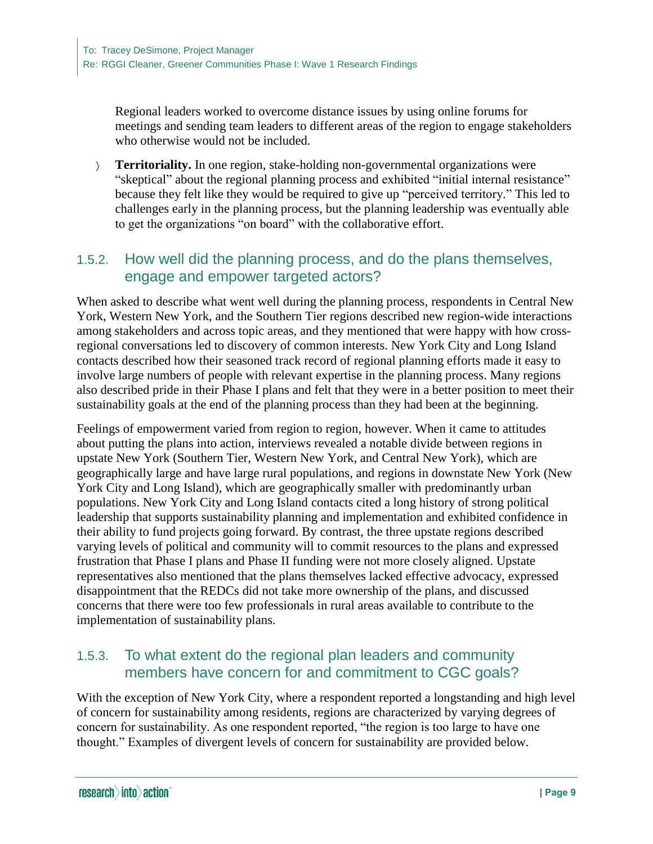Regional leaders worked to overcome distance issues by using online forums for meetings and sending team leaders to different areas of the region to engage stakeholders who otherwise would not be included.

 **Territoriality.** In one region, stake-holding non-governmental organizations were "skeptical" about the regional planning process and exhibited "initial internal resistance" because they felt like they would be required to give up "perceived territory." This led to challenges early in the planning process, but the planning leadership was eventually able to get the organizations "on board" with the collaborative effort.

### 1.5.2. How well did the planning process, and do the plans themselves, engage and empower targeted actors?

When asked to describe what went well during the planning process, respondents in Central New York, Western New York, and the Southern Tier regions described new region-wide interactions among stakeholders and across topic areas, and they mentioned that were happy with how crossregional conversations led to discovery of common interests. New York City and Long Island contacts described how their seasoned track record of regional planning efforts made it easy to involve large numbers of people with relevant expertise in the planning process. Many regions also described pride in their Phase I plans and felt that they were in a better position to meet their sustainability goals at the end of the planning process than they had been at the beginning.

Feelings of empowerment varied from region to region, however. When it came to attitudes about putting the plans into action, interviews revealed a notable divide between regions in upstate New York (Southern Tier, Western New York, and Central New York), which are geographically large and have large rural populations, and regions in downstate New York (New York City and Long Island), which are geographically smaller with predominantly urban populations. New York City and Long Island contacts cited a long history of strong political leadership that supports sustainability planning and implementation and exhibited confidence in their ability to fund projects going forward. By contrast, the three upstate regions described varying levels of political and community will to commit resources to the plans and expressed frustration that Phase I plans and Phase II funding were not more closely aligned. Upstate representatives also mentioned that the plans themselves lacked effective advocacy, expressed disappointment that the REDCs did not take more ownership of the plans, and discussed concerns that there were too few professionals in rural areas available to contribute to the implementation of sustainability plans.

## 1.5.3. To what extent do the regional plan leaders and community members have concern for and commitment to CGC goals?

With the exception of New York City, where a respondent reported a longstanding and high level of concern for sustainability among residents, regions are characterized by varying degrees of concern for sustainability. As one respondent reported, "the region is too large to have one thought." Examples of divergent levels of concern for sustainability are provided below.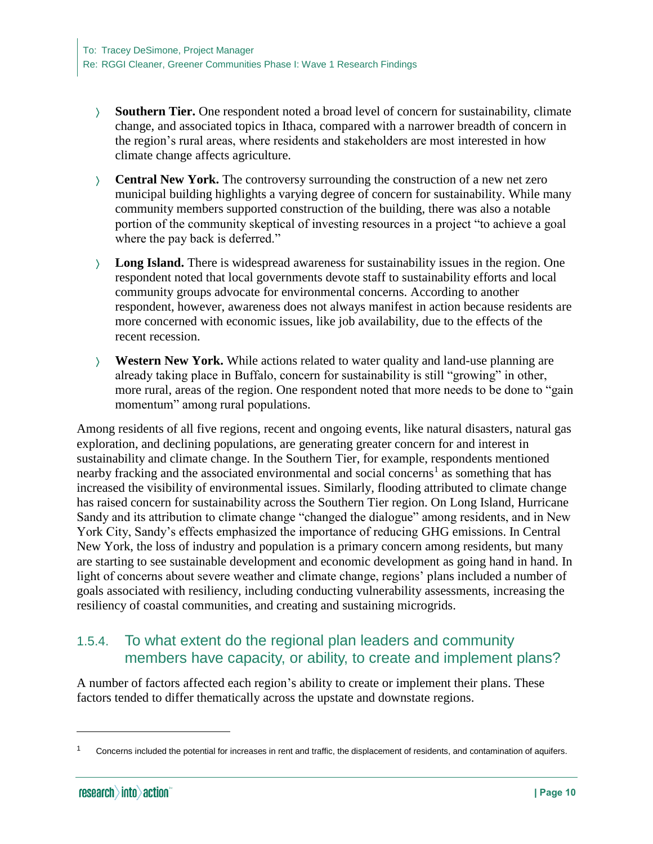- **Southern Tier.** One respondent noted a broad level of concern for sustainability, climate change, and associated topics in Ithaca, compared with a narrower breadth of concern in the region's rural areas, where residents and stakeholders are most interested in how climate change affects agriculture.
- **Central New York.** The controversy surrounding the construction of a new net zero municipal building highlights a varying degree of concern for sustainability. While many community members supported construction of the building, there was also a notable portion of the community skeptical of investing resources in a project "to achieve a goal where the pay back is deferred."
- **Long Island.** There is widespread awareness for sustainability issues in the region. One respondent noted that local governments devote staff to sustainability efforts and local community groups advocate for environmental concerns. According to another respondent, however, awareness does not always manifest in action because residents are more concerned with economic issues, like job availability, due to the effects of the recent recession.
- **Western New York.** While actions related to water quality and land-use planning are already taking place in Buffalo, concern for sustainability is still "growing" in other, more rural, areas of the region. One respondent noted that more needs to be done to "gain momentum" among rural populations.

Among residents of all five regions, recent and ongoing events, like natural disasters, natural gas exploration, and declining populations, are generating greater concern for and interest in sustainability and climate change. In the Southern Tier, for example, respondents mentioned nearby fracking and the associated environmental and social concerns<sup>1</sup> as something that has increased the visibility of environmental issues. Similarly, flooding attributed to climate change has raised concern for sustainability across the Southern Tier region. On Long Island, Hurricane Sandy and its attribution to climate change "changed the dialogue" among residents, and in New York City, Sandy's effects emphasized the importance of reducing GHG emissions. In Central New York, the loss of industry and population is a primary concern among residents, but many are starting to see sustainable development and economic development as going hand in hand. In light of concerns about severe weather and climate change, regions' plans included a number of goals associated with resiliency, including conducting vulnerability assessments, increasing the resiliency of coastal communities, and creating and sustaining microgrids.

## 1.5.4. To what extent do the regional plan leaders and community members have capacity, or ability, to create and implement plans?

A number of factors affected each region's ability to create or implement their plans. These factors tended to differ thematically across the upstate and downstate regions.

 $\overline{a}$ 

<sup>1</sup> Concerns included the potential for increases in rent and traffic, the displacement of residents, and contamination of aquifers.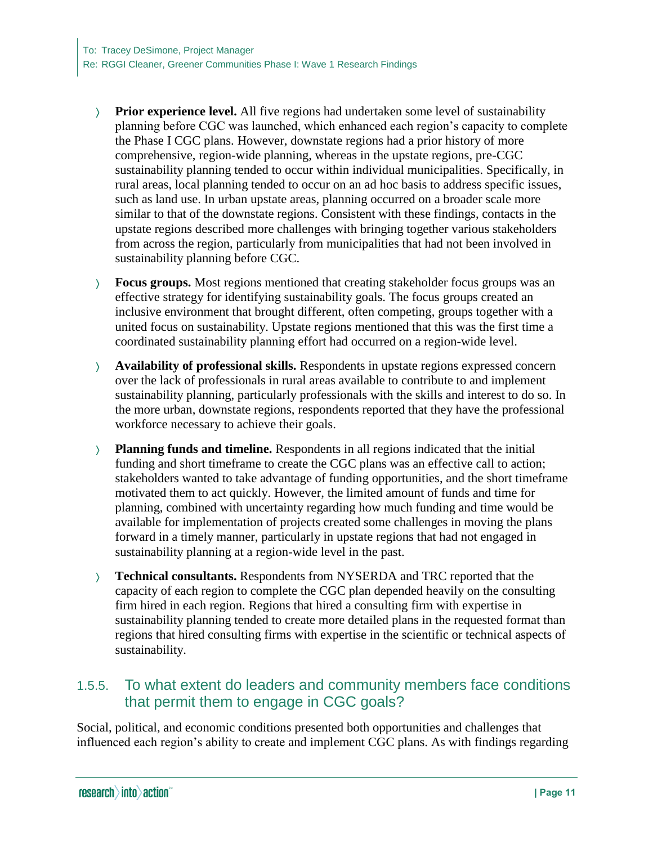- **Prior experience level.** All five regions had undertaken some level of sustainability planning before CGC was launched, which enhanced each region's capacity to complete the Phase I CGC plans. However, downstate regions had a prior history of more comprehensive, region-wide planning, whereas in the upstate regions, pre-CGC sustainability planning tended to occur within individual municipalities. Specifically, in rural areas, local planning tended to occur on an ad hoc basis to address specific issues, such as land use. In urban upstate areas, planning occurred on a broader scale more similar to that of the downstate regions. Consistent with these findings, contacts in the upstate regions described more challenges with bringing together various stakeholders from across the region, particularly from municipalities that had not been involved in sustainability planning before CGC.
- **Focus groups.** Most regions mentioned that creating stakeholder focus groups was an effective strategy for identifying sustainability goals. The focus groups created an inclusive environment that brought different, often competing, groups together with a united focus on sustainability. Upstate regions mentioned that this was the first time a coordinated sustainability planning effort had occurred on a region-wide level.
- **Availability of professional skills.** Respondents in upstate regions expressed concern over the lack of professionals in rural areas available to contribute to and implement sustainability planning, particularly professionals with the skills and interest to do so. In the more urban, downstate regions, respondents reported that they have the professional workforce necessary to achieve their goals.
- **Planning funds and timeline.** Respondents in all regions indicated that the initial funding and short timeframe to create the CGC plans was an effective call to action; stakeholders wanted to take advantage of funding opportunities, and the short timeframe motivated them to act quickly. However, the limited amount of funds and time for planning, combined with uncertainty regarding how much funding and time would be available for implementation of projects created some challenges in moving the plans forward in a timely manner, particularly in upstate regions that had not engaged in sustainability planning at a region-wide level in the past.
- **Technical consultants.** Respondents from NYSERDA and TRC reported that the capacity of each region to complete the CGC plan depended heavily on the consulting firm hired in each region. Regions that hired a consulting firm with expertise in sustainability planning tended to create more detailed plans in the requested format than regions that hired consulting firms with expertise in the scientific or technical aspects of sustainability.

### 1.5.5. To what extent do leaders and community members face conditions that permit them to engage in CGC goals?

Social, political, and economic conditions presented both opportunities and challenges that influenced each region's ability to create and implement CGC plans. As with findings regarding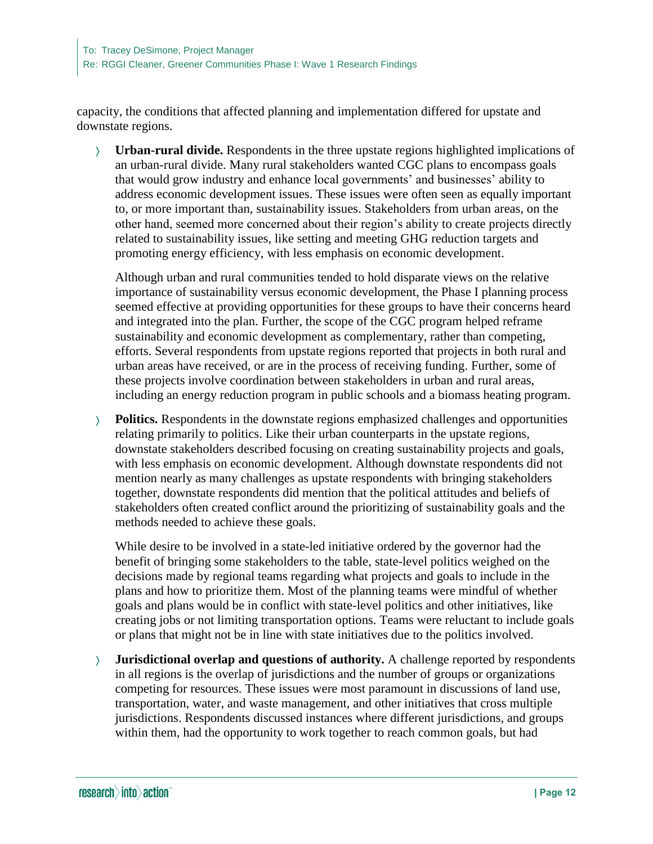capacity, the conditions that affected planning and implementation differed for upstate and downstate regions.

 **Urban-rural divide.** Respondents in the three upstate regions highlighted implications of an urban-rural divide. Many rural stakeholders wanted CGC plans to encompass goals that would grow industry and enhance local governments' and businesses' ability to address economic development issues. These issues were often seen as equally important to, or more important than, sustainability issues. Stakeholders from urban areas, on the other hand, seemed more concerned about their region's ability to create projects directly related to sustainability issues, like setting and meeting GHG reduction targets and promoting energy efficiency, with less emphasis on economic development.

Although urban and rural communities tended to hold disparate views on the relative importance of sustainability versus economic development, the Phase I planning process seemed effective at providing opportunities for these groups to have their concerns heard and integrated into the plan. Further, the scope of the CGC program helped reframe sustainability and economic development as complementary, rather than competing, efforts. Several respondents from upstate regions reported that projects in both rural and urban areas have received, or are in the process of receiving funding. Further, some of these projects involve coordination between stakeholders in urban and rural areas, including an energy reduction program in public schools and a biomass heating program.

 **Politics.** Respondents in the downstate regions emphasized challenges and opportunities relating primarily to politics. Like their urban counterparts in the upstate regions, downstate stakeholders described focusing on creating sustainability projects and goals, with less emphasis on economic development. Although downstate respondents did not mention nearly as many challenges as upstate respondents with bringing stakeholders together, downstate respondents did mention that the political attitudes and beliefs of stakeholders often created conflict around the prioritizing of sustainability goals and the methods needed to achieve these goals.

While desire to be involved in a state-led initiative ordered by the governor had the benefit of bringing some stakeholders to the table, state-level politics weighed on the decisions made by regional teams regarding what projects and goals to include in the plans and how to prioritize them. Most of the planning teams were mindful of whether goals and plans would be in conflict with state-level politics and other initiatives, like creating jobs or not limiting transportation options. Teams were reluctant to include goals or plans that might not be in line with state initiatives due to the politics involved.

 **Jurisdictional overlap and questions of authority.** A challenge reported by respondents in all regions is the overlap of jurisdictions and the number of groups or organizations competing for resources. These issues were most paramount in discussions of land use, transportation, water, and waste management, and other initiatives that cross multiple jurisdictions. Respondents discussed instances where different jurisdictions, and groups within them, had the opportunity to work together to reach common goals, but had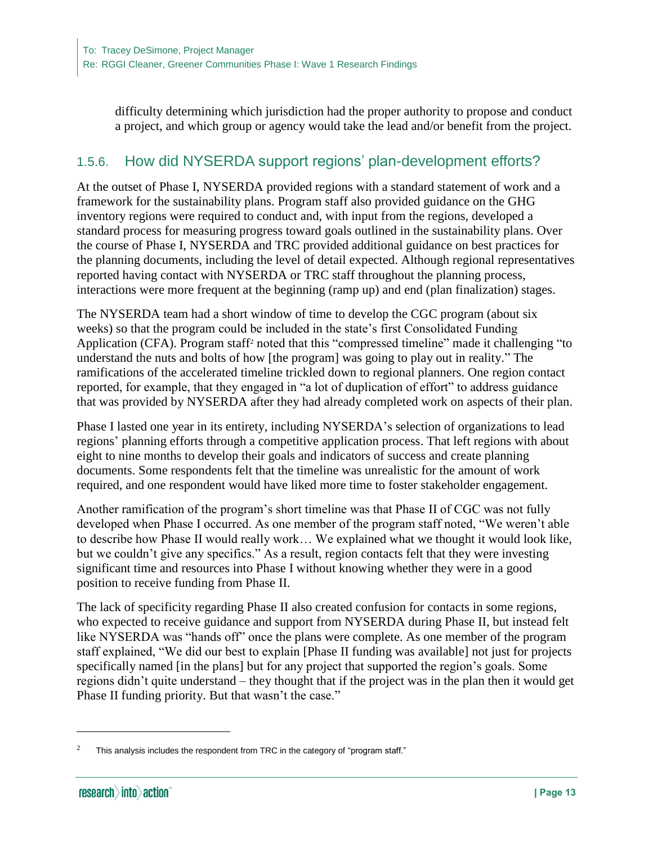difficulty determining which jurisdiction had the proper authority to propose and conduct a project, and which group or agency would take the lead and/or benefit from the project.

#### 1.5.6. How did NYSERDA support regions' plan-development efforts?

At the outset of Phase I, NYSERDA provided regions with a standard statement of work and a framework for the sustainability plans. Program staff also provided guidance on the GHG inventory regions were required to conduct and, with input from the regions, developed a standard process for measuring progress toward goals outlined in the sustainability plans. Over the course of Phase I, NYSERDA and TRC provided additional guidance on best practices for the planning documents, including the level of detail expected. Although regional representatives reported having contact with NYSERDA or TRC staff throughout the planning process, interactions were more frequent at the beginning (ramp up) and end (plan finalization) stages.

The NYSERDA team had a short window of time to develop the CGC program (about six weeks) so that the program could be included in the state's first Consolidated Funding Application (CFA). Program staff<sup>2</sup> noted that this "compressed timeline" made it challenging "to understand the nuts and bolts of how [the program] was going to play out in reality." The ramifications of the accelerated timeline trickled down to regional planners. One region contact reported, for example, that they engaged in "a lot of duplication of effort" to address guidance that was provided by NYSERDA after they had already completed work on aspects of their plan.

Phase I lasted one year in its entirety, including NYSERDA's selection of organizations to lead regions' planning efforts through a competitive application process. That left regions with about eight to nine months to develop their goals and indicators of success and create planning documents. Some respondents felt that the timeline was unrealistic for the amount of work required, and one respondent would have liked more time to foster stakeholder engagement.

Another ramification of the program's short timeline was that Phase II of CGC was not fully developed when Phase I occurred. As one member of the program staff noted, "We weren't able to describe how Phase II would really work… We explained what we thought it would look like, but we couldn't give any specifics." As a result, region contacts felt that they were investing significant time and resources into Phase I without knowing whether they were in a good position to receive funding from Phase II.

The lack of specificity regarding Phase II also created confusion for contacts in some regions, who expected to receive guidance and support from NYSERDA during Phase II, but instead felt like NYSERDA was "hands off" once the plans were complete. As one member of the program staff explained, "We did our best to explain [Phase II funding was available] not just for projects specifically named [in the plans] but for any project that supported the region's goals. Some regions didn't quite understand – they thought that if the project was in the plan then it would get Phase II funding priority. But that wasn't the case."

 $\overline{a}$ 

This analysis includes the respondent from TRC in the category of "program staff."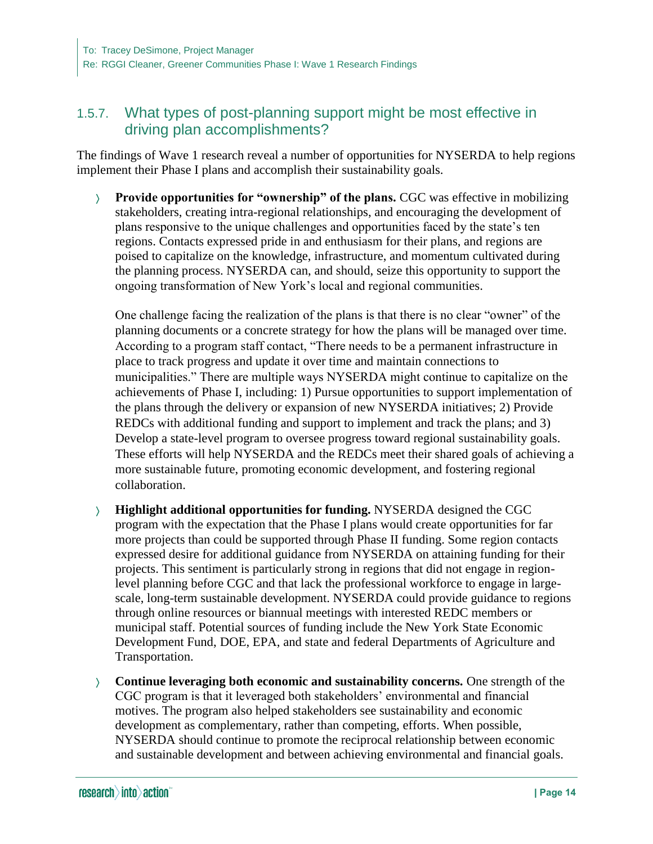### 1.5.7. What types of post-planning support might be most effective in driving plan accomplishments?

The findings of Wave 1 research reveal a number of opportunities for NYSERDA to help regions implement their Phase I plans and accomplish their sustainability goals.

 **Provide opportunities for "ownership" of the plans.** CGC was effective in mobilizing stakeholders, creating intra-regional relationships, and encouraging the development of plans responsive to the unique challenges and opportunities faced by the state's ten regions. Contacts expressed pride in and enthusiasm for their plans, and regions are poised to capitalize on the knowledge, infrastructure, and momentum cultivated during the planning process. NYSERDA can, and should, seize this opportunity to support the ongoing transformation of New York's local and regional communities.

One challenge facing the realization of the plans is that there is no clear "owner" of the planning documents or a concrete strategy for how the plans will be managed over time. According to a program staff contact, "There needs to be a permanent infrastructure in place to track progress and update it over time and maintain connections to municipalities." There are multiple ways NYSERDA might continue to capitalize on the achievements of Phase I, including: 1) Pursue opportunities to support implementation of the plans through the delivery or expansion of new NYSERDA initiatives; 2) Provide REDCs with additional funding and support to implement and track the plans; and 3) Develop a state-level program to oversee progress toward regional sustainability goals. These efforts will help NYSERDA and the REDCs meet their shared goals of achieving a more sustainable future, promoting economic development, and fostering regional collaboration.

- **Highlight additional opportunities for funding.** NYSERDA designed the CGC program with the expectation that the Phase I plans would create opportunities for far more projects than could be supported through Phase II funding. Some region contacts expressed desire for additional guidance from NYSERDA on attaining funding for their projects. This sentiment is particularly strong in regions that did not engage in regionlevel planning before CGC and that lack the professional workforce to engage in largescale, long-term sustainable development. NYSERDA could provide guidance to regions through online resources or biannual meetings with interested REDC members or municipal staff. Potential sources of funding include the New York State Economic Development Fund, DOE, EPA, and state and federal Departments of Agriculture and Transportation.
- **Continue leveraging both economic and sustainability concerns.** One strength of the CGC program is that it leveraged both stakeholders' environmental and financial motives. The program also helped stakeholders see sustainability and economic development as complementary, rather than competing, efforts. When possible, NYSERDA should continue to promote the reciprocal relationship between economic and sustainable development and between achieving environmental and financial goals.